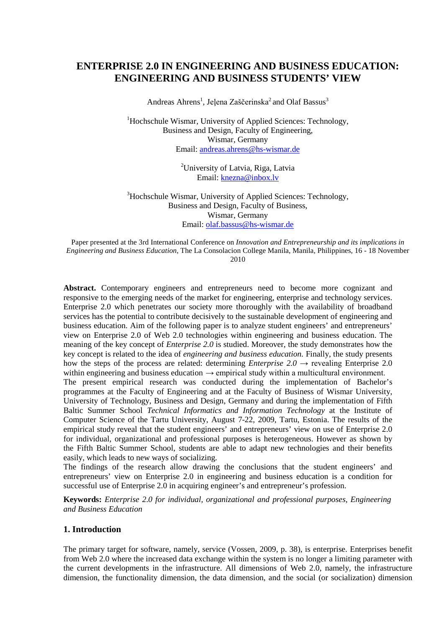# **ENTERPRISE 2.0 IN ENGINEERING AND BUSINESS EDUCATION: ENGINEERING AND BUSINESS STUDENTS' VIEW**

Andreas Ahrens<sup>1</sup>, Jeļena Zaščerinska<sup>2</sup> and Olaf Bassus<sup>3</sup>

<sup>1</sup>Hochschule Wismar, University of Applied Sciences: Technology, Business and Design, Faculty of Engineering, Wismar, Germany Email: [andreas.ahrens@hs-wismar.de](mailto:andreas.ahrens@hs-wismar.de)

> <sup>2</sup>University of Latvia, Riga, Latvia Email: [knezna@inbox.lv](mailto:knezna@inbox.lv)

<sup>3</sup>Hochschule Wismar, University of Applied Sciences: Technology, Business and Design, Faculty of Business, Wismar, Germany Email: [olaf.bassus@hs-wismar.de](mailto:andreas.ahrens@hs-wismar.de)

Paper presented at the 3rd International Conference on *Innovation and Entrepreneurship and its implications in Engineering and Business Education*, The La Consolacion College Manila, Manila, Philippines, 16 - 18 November 2010

**Abstract.** Contemporary engineers and entrepreneurs need to become more cognizant and responsive to the emerging needs of the market for engineering, enterprise and technology services. Enterprise 2.0 which penetrates our society more thoroughly with the availability of broadband services has the potential to contribute decisively to the sustainable development of engineering and business education. Aim of the following paper is to analyze student engineers' and entrepreneurs' view on Enterprise 2.0 of Web 2.0 technologies within engineering and business education. The meaning of the key concept of *Enterprise 2.0* is studied. Moreover, the study demonstrates how the key concept is related to the idea of *engineering and business education.* Finally, the study presents how the steps of the process are related: determining *Enterprise* 2.0  $\rightarrow$  revealing Enterprise 2.0 within engineering and business education  $\rightarrow$  empirical study within a multicultural environment. The present empirical research was conducted during the implementation of Bachelor's programmes at the Faculty of Engineering and at the Faculty of Business of Wismar University, University of Technology, Business and Design, Germany and during the implementation of Fifth Baltic Summer School *Technical Informatics and Information Technology* at the Institute of Computer Science of the Tartu University, August 7-22, 2009, Tartu, Estonia. The results of the empirical study reveal that the student engineers' and entrepreneurs' view on use of Enterprise 2.0 for individual, organizational and professional purposes is heterogeneous. However as shown by the Fifth Baltic Summer School, students are able to adapt new technologies and their benefits easily, which leads to new ways of socializing.

The findings of the research allow drawing the conclusions that the student engineers' and entrepreneurs' view on Enterprise 2.0 in engineering and business education is a condition for successful use of Enterprise 2.0 in acquiring engineer's and entrepreneur's profession.

**Keywords:** *Enterprise 2.0 for individual, organizational and professional purposes, Engineering and Business Education*

#### **1. Introduction**

The primary target for software, namely, service (Vossen, 2009, p. 38), is enterprise. Enterprises benefit from Web 2.0 where the increased data exchange within the system is no longer a limiting parameter with the current developments in the infrastructure. All dimensions of Web 2.0, namely, the infrastructure dimension, the functionality dimension, the data dimension, and the social (or socialization) dimension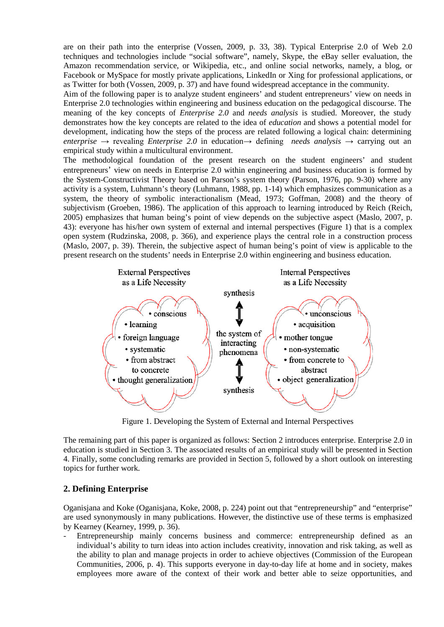are on their path into the enterprise (Vossen, 2009, p. 33, 38). Typical Enterprise 2.0 of Web 2.0 techniques and technologies include "social software", namely, Skype, the eBay seller evaluation, the Amazon recommendation service, or Wikipedia, etc., and online social networks, namely, a blog, or Facebook or MySpace for mostly private applications, LinkedIn or Xing for professional applications, or as Twitter for both (Vossen, 2009, p. 37) and have found widespread acceptance in the community.

Aim of the following paper is to analyze student engineers' and student entrepreneurs' view on needs in Enterprise 2.0 technologies within engineering and business education on the pedagogical discourse. The meaning of the key concepts of *Enterprise 2.0* and *needs analysis* is studied. Moreover, the study demonstrates how the key concepts are related to the idea of *education* and shows a potential model for development, indicating how the steps of the process are related following a logical chain: determining *enterprise*  $\rightarrow$  revealing *Enterprise* 2.0 in education  $\rightarrow$  defining *needs analysis*  $\rightarrow$  carrying out an empirical study within a multicultural environment.

The methodological foundation of the present research on the student engineers' and student entrepreneurs' view on needs in Enterprise 2.0 within engineering and business education is formed by the System-Constructivist Theory based on Parson's system theory (Parson, 1976, pp. 9-30) where any activity is a system, Luhmann's theory (Luhmann, 1988, pp. 1-14) which emphasizes communication as a system, the theory of symbolic interactionalism (Mead, 1973; Goffman, 2008) and the theory of subjectivism (Groeben, 1986). The application of this approach to learning introduced by Reich (Reich, 2005) emphasizes that human being's point of view depends on the subjective aspect (Maslo, 2007, p. 43): everyone has his/her own system of external and internal perspectives (Figure 1) that is a complex open system (Rudzinska, 2008, p. 366), and experience plays the central role in a construction process (Maslo, 2007, p. 39). Therein, the subjective aspect of human being's point of view is applicable to the present research on the students' needs in Enterprise 2.0 within engineering and business education.



Figure 1. Developing the System of External and Internal Perspectives

The remaining part of this paper is organized as follows: Section 2 introduces enterprise. Enterprise 2.0 in education is studied in Section 3. The associated results of an empirical study will be presented in Section 4. Finally, some concluding remarks are provided in Section 5, followed by a short outlook on interesting topics for further work.

# **2. Defining Enterprise**

Oganisjana and Koke (Oganisjana, Koke, 2008, p. 224) point out that "entrepreneurship" and "enterprise" are used synonymously in many publications. However, the distinctive use of these terms is emphasized by Kearney (Kearney, 1999, p. 36).

Entrepreneurship mainly concerns business and commerce: entrepreneurship defined as an individual's ability to turn ideas into action includes creativity, innovation and risk taking, as well as the ability to plan and manage projects in order to achieve objectives (Commission of the European Communities, 2006, p. 4). This supports everyone in day-to-day life at home and in society, makes employees more aware of the context of their work and better able to seize opportunities, and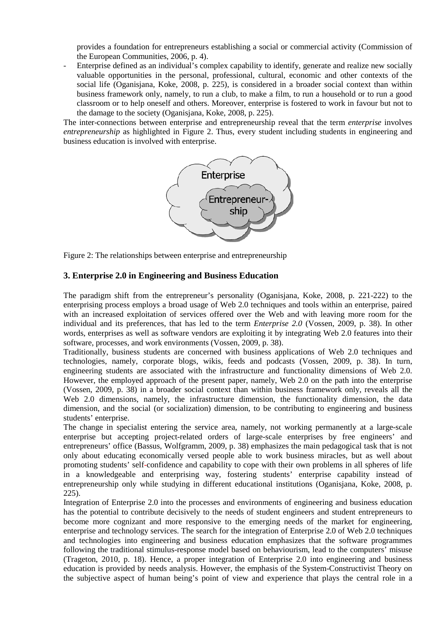provides a foundation for entrepreneurs establishing a social or commercial activity (Commission of the European Communities, 2006, p. 4).

Enterprise defined as an individual's complex capability to identify, generate and realize new socially valuable opportunities in the personal, professional, cultural, economic and other contexts of the social life (Oganisjana, Koke, 2008, p. 225), is considered in a broader social context than within business framework only, namely, to run a club, to make a film, to run a household or to run a good classroom or to help oneself and others. Moreover, enterprise is fostered to work in favour but not to the damage to the society (Oganisjana, Koke, 2008, p. 225).

The inter-connections between enterprise and entrepreneurship reveal that the term *enterprise* involves *entrepreneurship* as highlighted in Figure 2. Thus, every student including students in engineering and business education is involved with enterprise.



Figure 2: The relationships between enterprise and entrepreneurship

### **3. Enterprise 2.0 in Engineering and Business Education**

The paradigm shift from the entrepreneur's personality (Oganisjana, Koke, 2008, p. 221-222) to the enterprising process employs a broad usage of Web 2.0 techniques and tools within an enterprise, paired with an increased exploitation of services offered over the Web and with leaving more room for the individual and its preferences, that has led to the term *Enterprise 2.0* (Vossen, 2009, p. 38). In other words, enterprises as well as software vendors are exploiting it by integrating Web 2.0 features into their software, processes, and work environments (Vossen, 2009, p. 38).

Traditionally, business students are concerned with business applications of Web 2.0 techniques and technologies, namely, corporate blogs, wikis, feeds and podcasts (Vossen, 2009, p. 38). In turn, engineering students are associated with the infrastructure and functionality dimensions of Web 2.0. However, the employed approach of the present paper, namely, Web 2.0 on the path into the enterprise (Vossen, 2009, p. 38) in a broader social context than within business framework only, reveals all the Web 2.0 dimensions, namely, the infrastructure dimension, the functionality dimension, the data dimension, and the social (or socialization) dimension, to be contributing to engineering and business students' enterprise.

The change in specialist entering the service area, namely, not working permanently at a large-scale enterprise but accepting project-related orders of large-scale enterprises by free engineers' and entrepreneurs' office (Bassus, Wolfgramm, 2009, p. 38) emphasizes the main pedagogical task that is not only about educating economically versed people able to work business miracles, but as well about promoting students' self-confidence and capability to cope with their own problems in all spheres of life in a knowledgeable and enterprising way, fostering students' enterprise capability instead of entrepreneurship only while studying in different educational institutions (Oganisjana, Koke, 2008, p. 225).

Integration of Enterprise 2.0 into the processes and environments of engineering and business education has the potential to contribute decisively to the needs of student engineers and student entrepreneurs to become more cognizant and more responsive to the emerging needs of the market for engineering, enterprise and technology services. The search for the integration of Enterprise 2.0 of Web 2.0 techniques and technologies into engineering and business education emphasizes that the software programmes following the traditional stimulus-response model based on behaviourism, lead to the computers' misuse (Trageton, 2010, p. 18). Hence, a proper integration of Enterprise 2.0 into engineering and business education is provided by needs analysis. However, the emphasis of the System-Constructivist Theory on the subjective aspect of human being's point of view and experience that plays the central role in a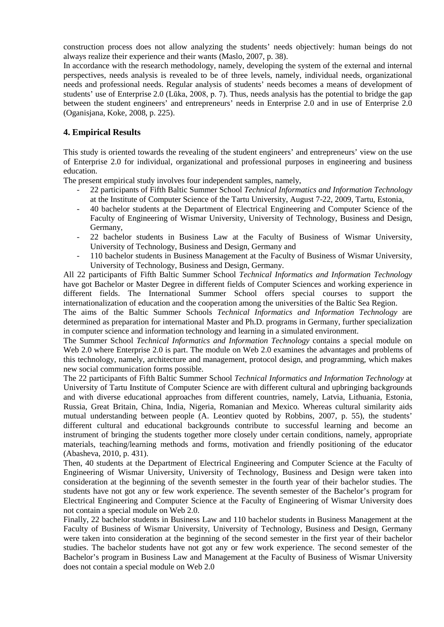construction process does not allow analyzing the students' needs objectively: human beings do not always realize their experience and their wants (Maslo, 2007, p. 38).

In accordance with the research methodology, namely, developing the system of the external and internal perspectives, needs analysis is revealed to be of three levels, namely, individual needs, organizational needs and professional needs. Regular analysis of students' needs becomes a means of development of students' use of Enterprise 2.0 (Lūka, 2008, p. 7). Thus, needs analysis has the potential to bridge the gap between the student engineers' and entrepreneurs' needs in Enterprise 2.0 and in use of Enterprise 2.0 (Oganisjana, Koke, 2008, p. 225).

# **4. Empirical Results**

This study is oriented towards the revealing of the student engineers' and entrepreneurs' view on the use of Enterprise 2.0 for individual, organizational and professional purposes in engineering and business education.

The present empirical study involves four independent samples, namely,

- 22 participants of Fifth Baltic Summer School *Technical Informatics and Information Technology* at the Institute of Computer Science of the Tartu University, August 7-22, 2009, Tartu, Estonia,
- 40 bachelor students at the Department of Electrical Engineering and Computer Science of the Faculty of Engineering of Wismar University, University of Technology, Business and Design, Germany,
- 22 bachelor students in Business Law at the Faculty of Business of Wismar University, University of Technology, Business and Design, Germany and
- 110 bachelor students in Business Management at the Faculty of Business of Wismar University, University of Technology, Business and Design, Germany.

All 22 participants of Fifth Baltic Summer School *Technical Informatics and Information Technology* have got Bachelor or Master Degree in different fields of Computer Sciences and working experience in different fields. The International Summer School offers special courses to support the internationalization of education and the cooperation among the universities of the Baltic Sea Region.

The aims of the Baltic Summer Schools *Technical Informatics and Information Technology* are determined as preparation for international Master and Ph.D. programs in Germany, further specialization in computer science and information technology and learning in a simulated environment.

The Summer School *Technical Informatics and Information Technology* contains a special module on Web 2.0 where Enterprise 2.0 is part. The module on Web 2.0 examines the advantages and problems of this technology, namely, architecture and management, protocol design, and programming, which makes new social communication forms possible.

The 22 participants of Fifth Baltic Summer School *Technical Informatics and Information Technology* at University of Tartu Institute of Computer Science are with different cultural and upbringing backgrounds and with diverse educational approaches from different countries, namely, Latvia, Lithuania, Estonia, Russia, Great Britain, China, India, Nigeria, Romanian and Mexico. Whereas cultural similarity aids mutual understanding between people (A. Leontiev quoted by Robbins, 2007, p. 55), the students' different cultural and educational backgrounds contribute to successful learning and become an instrument of bringing the students together more closely under certain conditions, namely, appropriate materials, teaching/learning methods and forms, motivation and friendly positioning of the educator (Abasheva, 2010, p. 431).

Then, 40 students at the Department of Electrical Engineering and Computer Science at the Faculty of Engineering of Wismar University, University of Technology, Business and Design were taken into consideration at the beginning of the seventh semester in the fourth year of their bachelor studies. The students have not got any or few work experience. The seventh semester of the Bachelor's program for Electrical Engineering and Computer Science at the Faculty of Engineering of Wismar University does not contain a special module on Web 2.0.

Finally, 22 bachelor students in Business Law and 110 bachelor students in Business Management at the Faculty of Business of Wismar University, University of Technology, Business and Design, Germany were taken into consideration at the beginning of the second semester in the first year of their bachelor studies. The bachelor students have not got any or few work experience. The second semester of the Bachelor's program in Business Law and Management at the Faculty of Business of Wismar University does not contain a special module on Web 2.0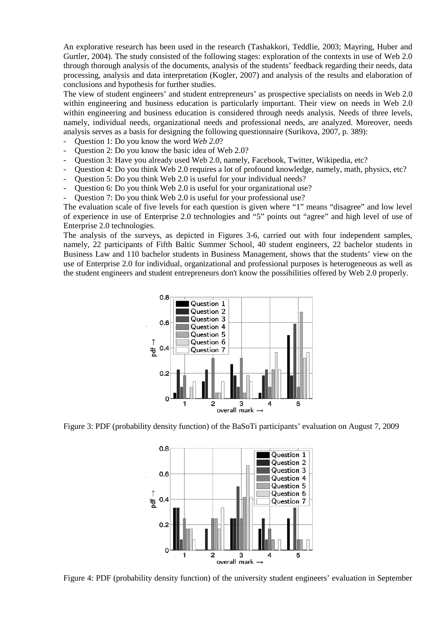An explorative research has been used in the research (Tashakkori, Teddlie, 2003; Mayring, Huber and Gurtler, 2004). The study consisted of the following stages: exploration of the contexts in use of Web 2.0 through thorough analysis of the documents, analysis of the students' feedback regarding their needs, data processing, analysis and data interpretation (Kogler, 2007) and analysis of the results and elaboration of conclusions and hypothesis for further studies.

The view of student engineers' and student entrepreneurs' as prospective specialists on needs in Web 2.0 within engineering and business education is particularly important. Their view on needs in Web 2.0 within engineering and business education is considered through needs analysis. Needs of three levels, namely, individual needs, organizational needs and professional needs, are analyzed. Moreover, needs analysis serves as a basis for designing the following questionnaire (Surikova, 2007, p. 389):

- Question 1: Do you know the word *Web 2.0*?
- Question 2: Do you know the basic idea of Web 2.0?
- Question 3: Have you already used Web 2.0, namely, Facebook, Twitter, Wikipedia, etc?
- Question 4: Do you think Web 2.0 requires a lot of profound knowledge, namely, math, physics, etc?
- Question 5: Do you think Web 2.0 is useful for your individual needs?
- Question 6: Do you think Web 2.0 is useful for your organizational use?
- Question 7: Do you think Web 2.0 is useful for your professional use?

The evaluation scale of five levels for each question is given where "1" means "disagree" and low level of experience in use of Enterprise 2.0 technologies and "5" points out "agree" and high level of use of Enterprise 2.0 technologies.

The analysis of the surveys, as depicted in Figures 3-6, carried out with four independent samples, namely, 22 participants of Fifth Baltic Summer School, 40 student engineers, 22 bachelor students in Business Law and 110 bachelor students in Business Management, shows that the students' view on the use of Enterprise 2.0 for individual, organizational and professional purposes is heterogeneous as well as the student engineers and student entrepreneurs don't know the possibilities offered by Web 2.0 properly.



Figure 3: PDF (probability density function) of the BaSoTi participants' evaluation on August 7, 2009



Figure 4: PDF (probability density function) of the university student engineers' evaluation in September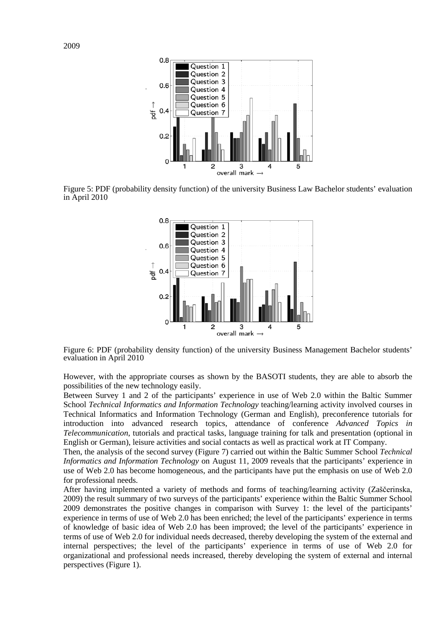

Figure 5: PDF (probability density function) of the university Business Law Bachelor students' evaluation in April 2010



Figure 6: PDF (probability density function) of the university Business Management Bachelor students' evaluation in April 2010

However, with the appropriate courses as shown by the BASOTI students, they are able to absorb the possibilities of the new technology easily.

Between Survey 1 and 2 of the participants' experience in use of Web 2.0 within the Baltic Summer School *Technical Informatics and Information Technology* teaching/learning activity involved courses in Technical Informatics and Information Technology (German and English), preconference tutorials for introduction into advanced research topics, attendance of conference *Advanced Topics in Telecommunication*, tutorials and practical tasks, language training for talk and presentation (optional in English or German), leisure activities and social contacts as well as practical work at IT Company.

Then, the analysis of the second survey (Figure 7) carried out within the Baltic Summer School *Technical Informatics and Information Technology* on August 11, 2009 reveals that the participants' experience in use of Web 2.0 has become homogeneous, and the participants have put the emphasis on use of Web 2.0 for professional needs.

After having implemented a variety of methods and forms of teaching/learning activity (Zaščerinska, 2009) the result summary of two surveys of the participants' experience within the Baltic Summer School 2009 demonstrates the positive changes in comparison with Survey 1: the level of the participants' experience in terms of use of Web 2.0 has been enriched; the level of the participants' experience in terms of knowledge of basic idea of Web 2.0 has been improved; the level of the participants' experience in terms of use of Web 2.0 for individual needs decreased, thereby developing the system of the external and internal perspectives; the level of the participants' experience in terms of use of Web 2.0 for organizational and professional needs increased, thereby developing the system of external and internal perspectives (Figure 1).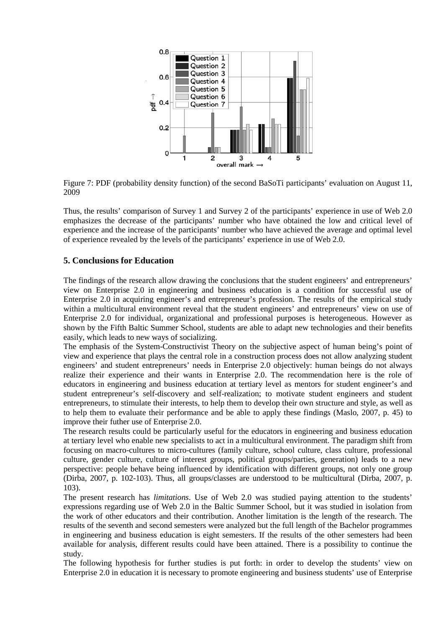

Figure 7: PDF (probability density function) of the second BaSoTi participants' evaluation on August 11, 2009

Thus, the results' comparison of Survey 1 and Survey 2 of the participants' experience in use of Web 2.0 emphasizes the decrease of the participants' number who have obtained the low and critical level of experience and the increase of the participants' number who have achieved the average and optimal level of experience revealed by the levels of the participants' experience in use of Web 2.0.

### **5. Conclusions for Education**

The findings of the research allow drawing the conclusions that the student engineers' and entrepreneurs' view on Enterprise 2.0 in engineering and business education is a condition for successful use of Enterprise 2.0 in acquiring engineer's and entrepreneur's profession. The results of the empirical study within a multicultural environment reveal that the student engineers' and entrepreneurs' view on use of Enterprise 2.0 for individual, organizational and professional purposes is heterogeneous. However as shown by the Fifth Baltic Summer School, students are able to adapt new technologies and their benefits easily, which leads to new ways of socializing.

The emphasis of the System-Constructivist Theory on the subjective aspect of human being's point of view and experience that plays the central role in a construction process does not allow analyzing student engineers' and student entrepreneurs' needs in Enterprise 2.0 objectively: human beings do not always realize their experience and their wants in Enterprise 2.0. The recommendation here is the role of educators in engineering and business education at tertiary level as mentors for student engineer's and student entrepreneur's self-discovery and self-realization; to motivate student engineers and student entrepreneurs, to stimulate their interests, to help them to develop their own structure and style, as well as to help them to evaluate their performance and be able to apply these findings (Maslo, 2007, p. 45) to improve their futher use of Enterprise 2.0.

The research results could be particularly useful for the educators in engineering and business education at tertiary level who enable new specialists to act in a multicultural environment. The paradigm shift from focusing on macro-cultures to micro-cultures (family culture, school culture, class culture, professional culture, gender culture, culture of interest groups, political groups/parties, generation) leads to a new perspective: people behave being influenced by identification with different groups, not only one group (Dirba, 2007, p. 102-103). Thus, all groups/classes are understood to be multicultural (Dirba, 2007, p. 103).

The present research has *limitations*. Use of Web 2.0 was studied paying attention to the students' expressions regarding use of Web 2.0 in the Baltic Summer School, but it was studied in isolation from the work of other educators and their contribution. Another limitation is the length of the research. The results of the seventh and second semesters were analyzed but the full length of the Bachelor programmes in engineering and business education is eight semesters. If the results of the other semesters had been available for analysis, different results could have been attained. There is a possibility to continue the study.

The following hypothesis for further studies is put forth: in order to develop the students' view on Enterprise 2.0 in education it is necessary to promote engineering and business students' use of Enterprise